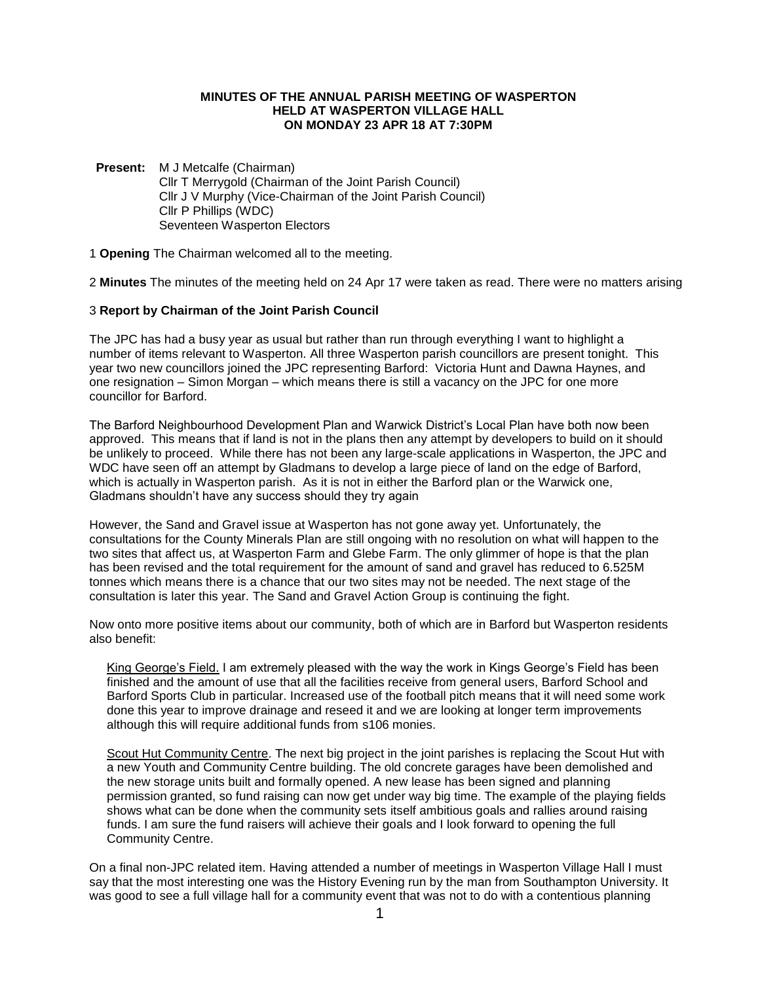### **MINUTES OF THE ANNUAL PARISH MEETING OF WASPERTON HELD AT WASPERTON VILLAGE HALL ON MONDAY 23 APR 18 AT 7:30PM**

**Present:** M J Metcalfe (Chairman) Cllr T Merrygold (Chairman of the Joint Parish Council) Cllr J V Murphy (Vice-Chairman of the Joint Parish Council) Cllr P Phillips (WDC) Seventeen Wasperton Electors

1 **Opening** The Chairman welcomed all to the meeting.

2 **Minutes** The minutes of the meeting held on 24 Apr 17 were taken as read. There were no matters arising

### 3 **Report by Chairman of the Joint Parish Council**

The JPC has had a busy year as usual but rather than run through everything I want to highlight a number of items relevant to Wasperton. All three Wasperton parish councillors are present tonight. This year two new councillors joined the JPC representing Barford: Victoria Hunt and Dawna Haynes, and one resignation – Simon Morgan – which means there is still a vacancy on the JPC for one more councillor for Barford.

The Barford Neighbourhood Development Plan and Warwick District's Local Plan have both now been approved. This means that if land is not in the plans then any attempt by developers to build on it should be unlikely to proceed. While there has not been any large-scale applications in Wasperton, the JPC and WDC have seen off an attempt by Gladmans to develop a large piece of land on the edge of Barford, which is actually in Wasperton parish. As it is not in either the Barford plan or the Warwick one, Gladmans shouldn't have any success should they try again

However, the Sand and Gravel issue at Wasperton has not gone away yet. Unfortunately, the consultations for the County Minerals Plan are still ongoing with no resolution on what will happen to the two sites that affect us, at Wasperton Farm and Glebe Farm. The only glimmer of hope is that the plan has been revised and the total requirement for the amount of sand and gravel has reduced to 6.525M tonnes which means there is a chance that our two sites may not be needed. The next stage of the consultation is later this year. The Sand and Gravel Action Group is continuing the fight.

Now onto more positive items about our community, both of which are in Barford but Wasperton residents also benefit:

King George's Field. I am extremely pleased with the way the work in Kings George's Field has been finished and the amount of use that all the facilities receive from general users, Barford School and Barford Sports Club in particular. Increased use of the football pitch means that it will need some work done this year to improve drainage and reseed it and we are looking at longer term improvements although this will require additional funds from s106 monies.

Scout Hut Community Centre. The next big project in the joint parishes is replacing the Scout Hut with a new Youth and Community Centre building. The old concrete garages have been demolished and the new storage units built and formally opened. A new lease has been signed and planning permission granted, so fund raising can now get under way big time. The example of the playing fields shows what can be done when the community sets itself ambitious goals and rallies around raising funds. I am sure the fund raisers will achieve their goals and I look forward to opening the full Community Centre.

On a final non-JPC related item. Having attended a number of meetings in Wasperton Village Hall I must say that the most interesting one was the History Evening run by the man from Southampton University. It was good to see a full village hall for a community event that was not to do with a contentious planning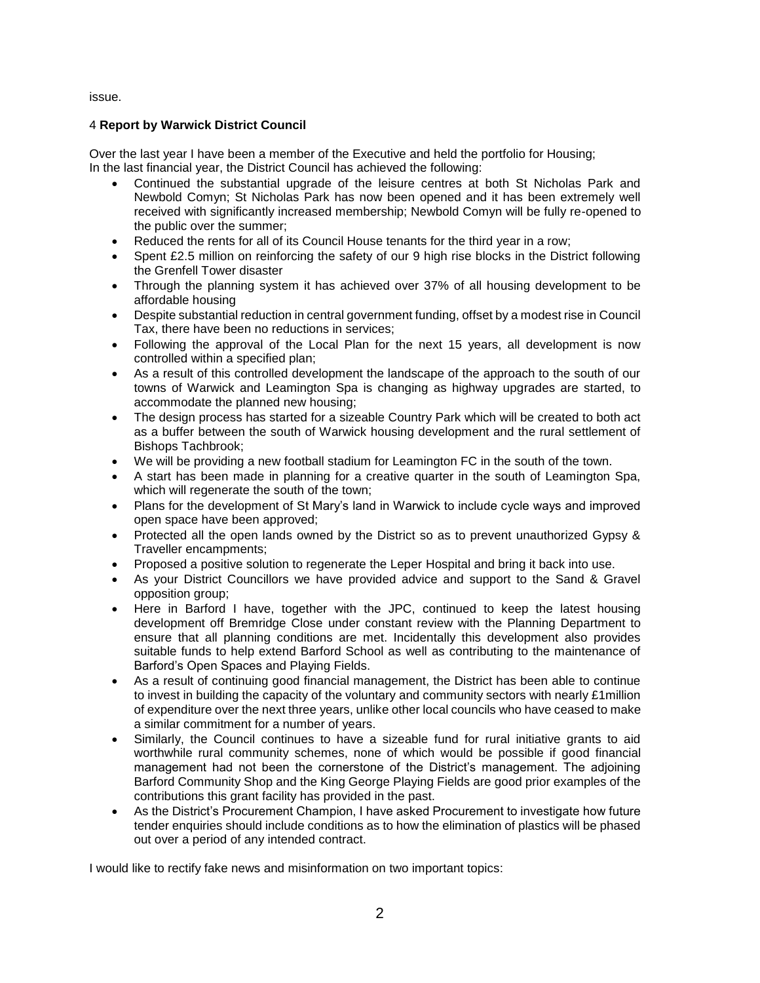issue.

# 4 **Report by Warwick District Council**

Over the last year I have been a member of the Executive and held the portfolio for Housing; In the last financial year, the District Council has achieved the following:

- Continued the substantial upgrade of the leisure centres at both St Nicholas Park and Newbold Comyn; St Nicholas Park has now been opened and it has been extremely well received with significantly increased membership; Newbold Comyn will be fully re-opened to the public over the summer;
- Reduced the rents for all of its Council House tenants for the third year in a row;
- Spent £2.5 million on reinforcing the safety of our 9 high rise blocks in the District following the Grenfell Tower disaster
- Through the planning system it has achieved over 37% of all housing development to be affordable housing
- Despite substantial reduction in central government funding, offset by a modest rise in Council Tax, there have been no reductions in services;
- Following the approval of the Local Plan for the next 15 years, all development is now controlled within a specified plan;
- As a result of this controlled development the landscape of the approach to the south of our towns of Warwick and Leamington Spa is changing as highway upgrades are started, to accommodate the planned new housing;
- The design process has started for a sizeable Country Park which will be created to both act as a buffer between the south of Warwick housing development and the rural settlement of Bishops Tachbrook;
- We will be providing a new football stadium for Leamington FC in the south of the town.
- A start has been made in planning for a creative quarter in the south of Leamington Spa, which will regenerate the south of the town;
- Plans for the development of St Mary's land in Warwick to include cycle ways and improved open space have been approved;
- Protected all the open lands owned by the District so as to prevent unauthorized Gypsy & Traveller encampments;
- Proposed a positive solution to regenerate the Leper Hospital and bring it back into use.
- As your District Councillors we have provided advice and support to the Sand & Gravel opposition group;
- Here in Barford I have, together with the JPC, continued to keep the latest housing development off Bremridge Close under constant review with the Planning Department to ensure that all planning conditions are met. Incidentally this development also provides suitable funds to help extend Barford School as well as contributing to the maintenance of Barford's Open Spaces and Playing Fields.
- As a result of continuing good financial management, the District has been able to continue to invest in building the capacity of the voluntary and community sectors with nearly £1million of expenditure over the next three years, unlike other local councils who have ceased to make a similar commitment for a number of years.
- Similarly, the Council continues to have a sizeable fund for rural initiative grants to aid worthwhile rural community schemes, none of which would be possible if good financial management had not been the cornerstone of the District's management. The adjoining Barford Community Shop and the King George Playing Fields are good prior examples of the contributions this grant facility has provided in the past.
- As the District's Procurement Champion, I have asked Procurement to investigate how future tender enquiries should include conditions as to how the elimination of plastics will be phased out over a period of any intended contract.

I would like to rectify fake news and misinformation on two important topics: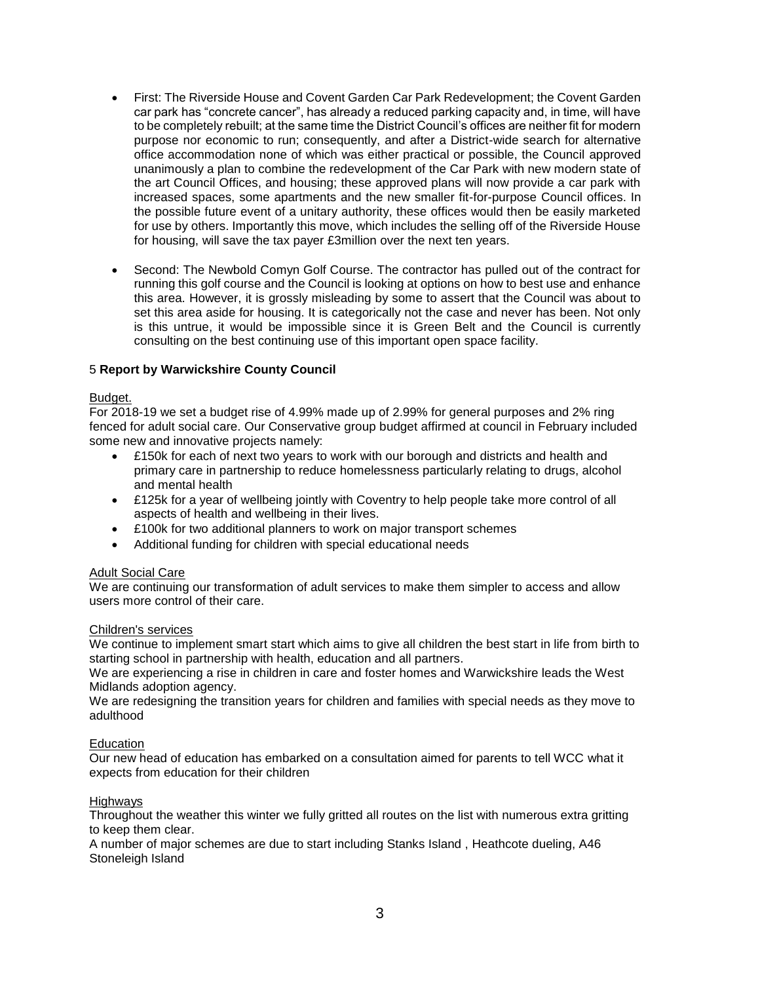- First: The Riverside House and Covent Garden Car Park Redevelopment; the Covent Garden car park has "concrete cancer", has already a reduced parking capacity and, in time, will have to be completely rebuilt; at the same time the District Council's offices are neither fit for modern purpose nor economic to run; consequently, and after a District-wide search for alternative office accommodation none of which was either practical or possible, the Council approved unanimously a plan to combine the redevelopment of the Car Park with new modern state of the art Council Offices, and housing; these approved plans will now provide a car park with increased spaces, some apartments and the new smaller fit-for-purpose Council offices. In the possible future event of a unitary authority, these offices would then be easily marketed for use by others. Importantly this move, which includes the selling off of the Riverside House for housing, will save the tax payer £3million over the next ten years.
- Second: The Newbold Comyn Golf Course. The contractor has pulled out of the contract for running this golf course and the Council is looking at options on how to best use and enhance this area. However, it is grossly misleading by some to assert that the Council was about to set this area aside for housing. It is categorically not the case and never has been. Not only is this untrue, it would be impossible since it is Green Belt and the Council is currently consulting on the best continuing use of this important open space facility.

### 5 **Report by Warwickshire County Council**

#### Budget.

For 2018-19 we set a budget rise of 4.99% made up of 2.99% for general purposes and 2% ring fenced for adult social care. Our Conservative group budget affirmed at council in February included some new and innovative projects namely:

- £150k for each of next two years to work with our borough and districts and health and primary care in partnership to reduce homelessness particularly relating to drugs, alcohol and mental health
- £125k for a year of wellbeing jointly with Coventry to help people take more control of all aspects of health and wellbeing in their lives.
- £100k for two additional planners to work on major transport schemes
- Additional funding for children with special educational needs

#### **Adult Social Care**

We are continuing our transformation of adult services to make them simpler to access and allow users more control of their care.

#### Children's services

We continue to implement smart start which aims to give all children the best start in life from birth to starting school in partnership with health, education and all partners.

We are experiencing a rise in children in care and foster homes and Warwickshire leads the West Midlands adoption agency.

We are redesigning the transition years for children and families with special needs as they move to adulthood

### **Education**

Our new head of education has embarked on a consultation aimed for parents to tell WCC what it expects from education for their children

### **Highways**

Throughout the weather this winter we fully gritted all routes on the list with numerous extra gritting to keep them clear.

A number of major schemes are due to start including Stanks Island , Heathcote dueling, A46 Stoneleigh Island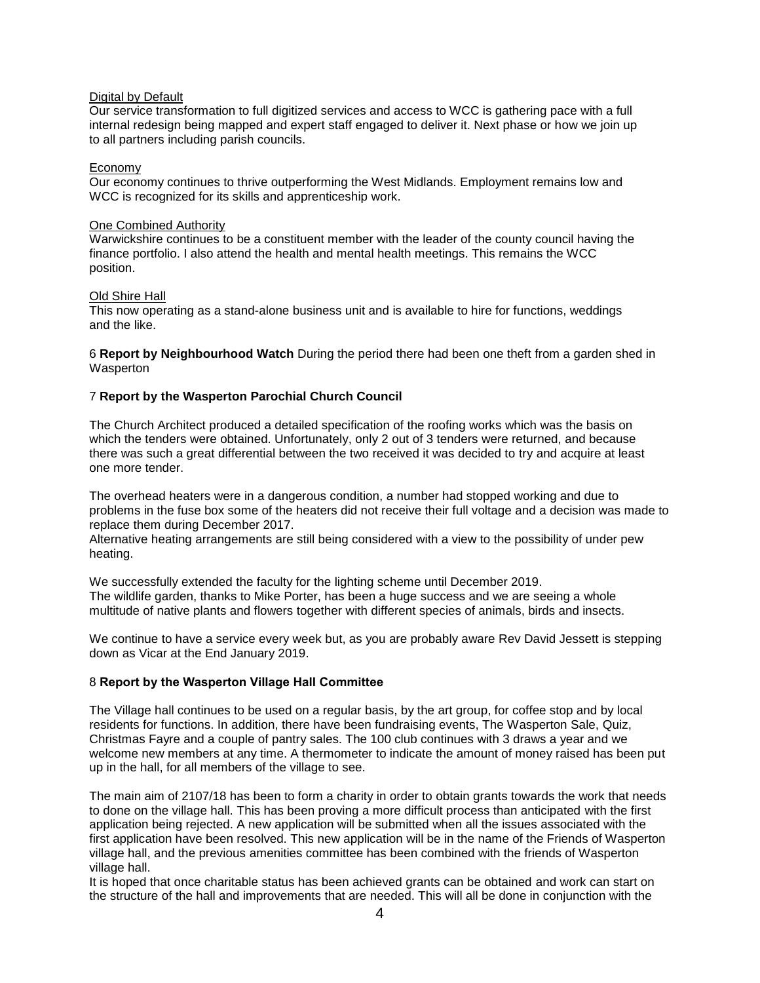## Digital by Default

Our service transformation to full digitized services and access to WCC is gathering pace with a full internal redesign being mapped and expert staff engaged to deliver it. Next phase or how we join up to all partners including parish councils.

## Economy

Our economy continues to thrive outperforming the West Midlands. Employment remains low and WCC is recognized for its skills and apprenticeship work.

## One Combined Authority

Warwickshire continues to be a constituent member with the leader of the county council having the finance portfolio. I also attend the health and mental health meetings. This remains the WCC position.

## Old Shire Hall

This now operating as a stand-alone business unit and is available to hire for functions, weddings and the like.

6 **Report by Neighbourhood Watch** During the period there had been one theft from a garden shed in Wasperton

# 7 **Report by the Wasperton Parochial Church Council**

The Church Architect produced a detailed specification of the roofing works which was the basis on which the tenders were obtained. Unfortunately, only 2 out of 3 tenders were returned, and because there was such a great differential between the two received it was decided to try and acquire at least one more tender.

The overhead heaters were in a dangerous condition, a number had stopped working and due to problems in the fuse box some of the heaters did not receive their full voltage and a decision was made to replace them during December 2017.

Alternative heating arrangements are still being considered with a view to the possibility of under pew heating.

We successfully extended the faculty for the lighting scheme until December 2019. The wildlife garden, thanks to Mike Porter, has been a huge success and we are seeing a whole multitude of native plants and flowers together with different species of animals, birds and insects.

We continue to have a service every week but, as you are probably aware Rev David Jessett is stepping down as Vicar at the End January 2019.

# 8 **Report by the Wasperton Village Hall Committee**

The Village hall continues to be used on a regular basis, by the art group, for coffee stop and by local residents for functions. In addition, there have been fundraising events, The Wasperton Sale, Quiz, Christmas Fayre and a couple of pantry sales. The 100 club continues with 3 draws a year and we welcome new members at any time. A thermometer to indicate the amount of money raised has been put up in the hall, for all members of the village to see.

The main aim of 2107/18 has been to form a charity in order to obtain grants towards the work that needs to done on the village hall. This has been proving a more difficult process than anticipated with the first application being rejected. A new application will be submitted when all the issues associated with the first application have been resolved. This new application will be in the name of the Friends of Wasperton village hall, and the previous amenities committee has been combined with the friends of Wasperton village hall.

It is hoped that once charitable status has been achieved grants can be obtained and work can start on the structure of the hall and improvements that are needed. This will all be done in conjunction with the